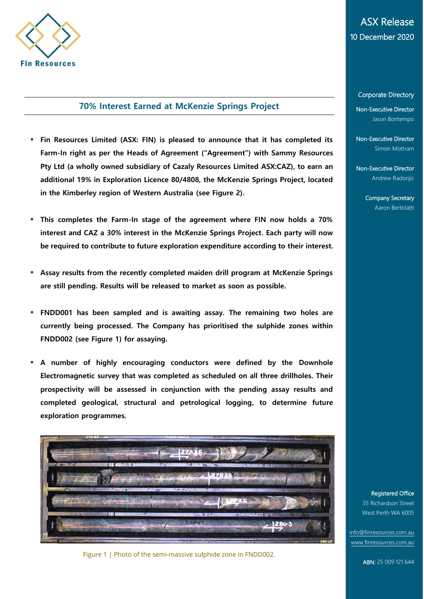

## **70% Interest Earned at McKenzie Springs Project**

- **Fin Resources Limited (ASX: FIN) is pleased to announce that it has completed its Farm-In right as per the Heads of Agreement ("Agreement") with Sammy Resources Pty Ltd (a wholly owned subsidiary of Cazaly Resources Limited ASX:CAZ), to earn an additional 19% in Exploration Licence 80/4808, the McKenzie Springs Project, located in the Kimberley region of Western Australia (see Figure 2).**
- **This completes the Farm-In stage of the agreement where FIN now holds a 70% interest and CAZ a 30% interest in the McKenzie Springs Project. Each party will now be required to contribute to future exploration expenditure according to their interest.**
- **Assay results from the recently completed maiden drill program at McKenzie Springs are still pending. Results will be released to market as soon as possible.**
- **FNDD001 has been sampled and is awaiting assay. The remaining two holes are currently being processed. The Company has prioritised the sulphide zones within FNDD002 (see Figure 1) for assaying.**
- **A number of highly encouraging conductors were defined by the Downhole Electromagnetic survey that was completed as scheduled on all three drillholes. Their prospectivity will be assessed in conjunction with the pending assay results and completed geological, structural and petrological logging, to determine future exploration programmes.**



Figure 1 | Photo of the semi-massive sulphide zone in FNDD002.

# ASX Release 10 December 2020

Corporate Directory

Non-Executive Director Jason Bontempo

Non-Executive Director Simon Mottram

Non-Executive Director Andrew Radoniic

> Company Secretary Aaron Bertolatti

#### Registered Office

35 Richardson Street West Perth WA 6005

[info@finresources.com.au](mailto:info@finresources.com.au) [www.finresources.com.au](http://www.finresources.com.au/)

ABN: 25 009 121 644